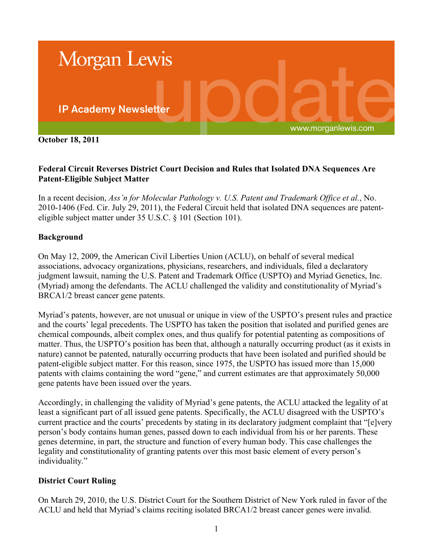

**October 18, 2011**

## **Federal Circuit Reverses District Court Decision and Rules that Isolated DNA Sequences Are Patent-Eligible Subject Matter**

In a recent decision, *Ass'n for Molecular Pathology v. U.S. Patent and Trademark Office et al.*, No. 2010-1406 (Fed. Cir. July 29, 2011), the Federal Circuit held that isolated DNA sequences are patenteligible subject matter under 35 U.S.C. § 101 (Section 101).

## **Background**

On May 12, 2009, the American Civil Liberties Union (ACLU), on behalf of several medical associations, advocacy organizations, physicians, researchers, and individuals, filed a declaratory judgment lawsuit, naming the U.S. Patent and Trademark Office (USPTO) and Myriad Genetics, Inc. (Myriad) among the defendants. The ACLU challenged the validity and constitutionality of Myriad's BRCA1/2 breast cancer gene patents.

Myriad's patents, however, are not unusual or unique in view of the USPTO's present rules and practice and the courts' legal precedents. The USPTO has taken the position that isolated and purified genes are chemical compounds, albeit complex ones, and thus qualify for potential patenting as compositions of matter. Thus, the USPTO's position has been that, although a naturally occurring product (as it exists in nature) cannot be patented, naturally occurring products that have been isolated and purified should be patent-eligible subject matter. For this reason, since 1975, the USPTO has issued more than 15,000 patents with claims containing the word "gene," and current estimates are that approximately 50,000 gene patents have been issued over the years.

Accordingly, in challenging the validity of Myriad's gene patents, the ACLU attacked the legality of at least a significant part of all issued gene patents. Specifically, the ACLU disagreed with the USPTO's current practice and the courts' precedents by stating in its declaratory judgment complaint that "[e]very person's body contains human genes, passed down to each individual from his or her parents. These genes determine, in part, the structure and function of every human body. This case challenges the legality and constitutionality of granting patents over this most basic element of every person's individuality."

### **District Court Ruling**

On March 29, 2010, the U.S. District Court for the Southern District of New York ruled in favor of the ACLU and held that Myriad's claims reciting isolated BRCA1/2 breast cancer genes were invalid.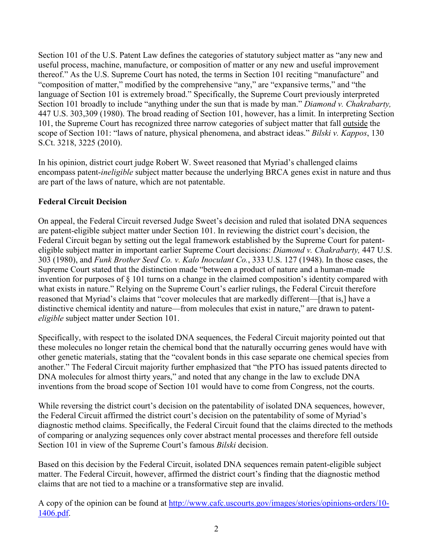Section 101 of the U.S. Patent Law defines the categories of statutory subject matter as "any new and useful process, machine, manufacture, or composition of matter or any new and useful improvement thereof." As the U.S. Supreme Court has noted, the terms in Section 101 reciting "manufacture" and "composition of matter," modified by the comprehensive "any," are "expansive terms," and "the language of Section 101 is extremely broad." Specifically, the Supreme Court previously interpreted Section 101 broadly to include "anything under the sun that is made by man." *Diamond v. Chakrabarty,*  447 U.S. 303,309 (1980). The broad reading of Section 101, however, has a limit. In interpreting Section 101, the Supreme Court has recognized three narrow categories of subject matter that fall outside the scope of Section 101: "laws of nature, physical phenomena, and abstract ideas." *Bilski v. Kappos*, 130 S.Ct. 3218, 3225 (2010).

In his opinion, district court judge Robert W. Sweet reasoned that Myriad's challenged claims encompass patent-*ineligible* subject matter because the underlying BRCA genes exist in nature and thus are part of the laws of nature, which are not patentable.

# **Federal Circuit Decision**

On appeal, the Federal Circuit reversed Judge Sweet's decision and ruled that isolated DNA sequences are patent-eligible subject matter under Section 101. In reviewing the district court's decision, the Federal Circuit began by setting out the legal framework established by the Supreme Court for patenteligible subject matter in important earlier Supreme Court decisions: *Diamond v. Chakrabarty,* 447 U.S. 303 (1980), and *Funk Brother Seed Co. v. Kalo Inoculant Co.*, 333 U.S. 127 (1948). In those cases, the Supreme Court stated that the distinction made "between a product of nature and a human-made invention for purposes of § 101 turns on a change in the claimed composition's identity compared with what exists in nature." Relying on the Supreme Court's earlier rulings, the Federal Circuit therefore reasoned that Myriad's claims that "cover molecules that are markedly different—[that is,] have a distinctive chemical identity and nature—from molecules that exist in nature," are drawn to patent*eligible* subject matter under Section 101.

Specifically, with respect to the isolated DNA sequences, the Federal Circuit majority pointed out that these molecules no longer retain the chemical bond that the naturally occurring genes would have with other genetic materials, stating that the "covalent bonds in this case separate one chemical species from another." The Federal Circuit majority further emphasized that "the PTO has issued patents directed to DNA molecules for almost thirty years," and noted that any change in the law to exclude DNA inventions from the broad scope of Section 101 would have to come from Congress, not the courts.

While reversing the district court's decision on the patentability of isolated DNA sequences, however, the Federal Circuit affirmed the district court's decision on the patentability of some of Myriad's diagnostic method claims. Specifically, the Federal Circuit found that the claims directed to the methods of comparing or analyzing sequences only cover abstract mental processes and therefore fell outside Section 101 in view of the Supreme Court's famous *Bilski* decision.

Based on this decision by the Federal Circuit, isolated DNA sequences remain patent-eligible subject matter. The Federal Circuit, however, affirmed the district court's finding that the diagnostic method claims that are not tied to a machine or a transformative step are invalid.

A copy of the opinion can be found at [http://www.cafc.uscourts.gov/images/stories/opinions-orders/10-](http://www.cafc.uscourts.gov/images/stories/opinions-orders/10-1406.pdf) [1406.pdf.](http://www.cafc.uscourts.gov/images/stories/opinions-orders/10-1406.pdf)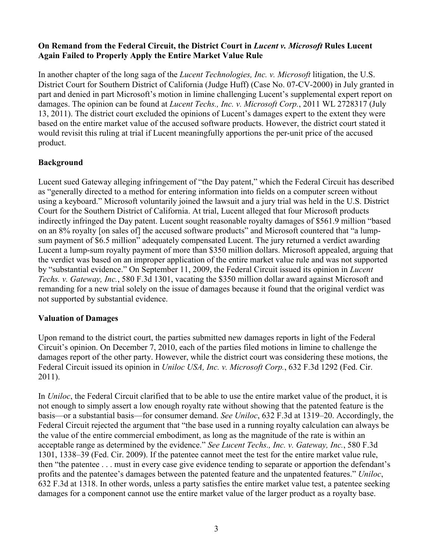### **On Remand from the Federal Circuit, the District Court in** *Lucent v. Microsoft* **Rules Lucent Again Failed to Properly Apply the Entire Market Value Rule**

In another chapter of the long saga of the *Lucent Technologies, Inc. v. Microsoft* litigation, the U.S. District Court for Southern District of California (Judge Huff) (Case No. 07-CV-2000) in July granted in part and denied in part Microsoft's motion in limine challenging Lucent's supplemental expert report on damages. The opinion can be found at *Lucent Techs., Inc. v. Microsoft Corp.*, 2011 WL 2728317 (July 13, 2011). The district court excluded the opinions of Lucent's damages expert to the extent they were based on the entire market value of the accused software products. However, the district court stated it would revisit this ruling at trial if Lucent meaningfully apportions the per-unit price of the accused product.

# **Background**

Lucent sued Gateway alleging infringement of "the Day patent," which the Federal Circuit has described as "generally directed to a method for entering information into fields on a computer screen without using a keyboard." Microsoft voluntarily joined the lawsuit and a jury trial was held in the U.S. District Court for the Southern District of California. At trial, Lucent alleged that four Microsoft products indirectly infringed the Day patent. Lucent sought reasonable royalty damages of \$561.9 million "based on an 8% royalty [on sales of] the accused software products" and Microsoft countered that "a lumpsum payment of \$6.5 million" adequately compensated Lucent. The jury returned a verdict awarding Lucent a lump-sum royalty payment of more than \$350 million dollars. Microsoft appealed, arguing that the verdict was based on an improper application of the entire market value rule and was not supported by "substantial evidence." On September 11, 2009, the Federal Circuit issued its opinion in *Lucent Techs. v. Gateway, Inc.*, 580 F.3d 1301, vacating the \$350 million dollar award against Microsoft and remanding for a new trial solely on the issue of damages because it found that the original verdict was not supported by substantial evidence.

# **Valuation of Damages**

Upon remand to the district court, the parties submitted new damages reports in light of the Federal Circuit's opinion. On December 7, 2010, each of the parties filed motions in limine to challenge the damages report of the other party. However, while the district court was considering these motions, the Federal Circuit issued its opinion in *Uniloc USA, Inc. v. Microsoft Corp.*, 632 F.3d 1292 (Fed. Cir. 2011).

In *Uniloc*, the Federal Circuit clarified that to be able to use the entire market value of the product, it is not enough to simply assert a low enough royalty rate without showing that the patented feature is the basis—or a substantial basis—for consumer demand. *See Uniloc*, 632 F.3d at 1319–20. Accordingly, the Federal Circuit rejected the argument that "the base used in a running royalty calculation can always be the value of the entire commercial embodiment, as long as the magnitude of the rate is within an acceptable range as determined by the evidence." *See Lucent Techs., Inc. v. Gateway, Inc.*, 580 F.3d 1301, 1338–39 (Fed. Cir. 2009). If the patentee cannot meet the test for the entire market value rule, then "the patentee . . . must in every case give evidence tending to separate or apportion the defendant's profits and the patentee's damages between the patented feature and the unpatented features." *Uniloc*, 632 F.3d at 1318. In other words, unless a party satisfies the entire market value test, a patentee seeking damages for a component cannot use the entire market value of the larger product as a royalty base.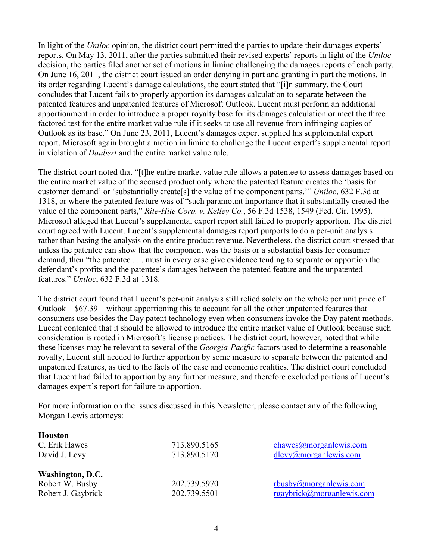In light of the *Uniloc* opinion, the district court permitted the parties to update their damages experts' reports. On May 13, 2011, after the parties submitted their revised experts' reports in light of the *Uniloc* decision, the parties filed another set of motions in limine challenging the damages reports of each party. On June 16, 2011, the district court issued an order denying in part and granting in part the motions. In its order regarding Lucent's damage calculations, the court stated that "[i]n summary, the Court concludes that Lucent fails to properly apportion its damages calculation to separate between the patented features and unpatented features of Microsoft Outlook. Lucent must perform an additional apportionment in order to introduce a proper royalty base for its damages calculation or meet the three factored test for the entire market value rule if it seeks to use all revenue from infringing copies of Outlook as its base." On June 23, 2011, Lucent's damages expert supplied his supplemental expert report. Microsoft again brought a motion in limine to challenge the Lucent expert's supplemental report in violation of *Daubert* and the entire market value rule.

The district court noted that "[t]he entire market value rule allows a patentee to assess damages based on the entire market value of the accused product only where the patented feature creates the 'basis for customer demand' or 'substantially create[s] the value of the component parts,'" *Uniloc*, 632 F.3d at 1318, or where the patented feature was of "such paramount importance that it substantially created the value of the component parts," *Rite-Hite Corp. v. Kelley Co.*, 56 F.3d 1538, 1549 (Fed. Cir. 1995). Microsoft alleged that Lucent's supplemental expert report still failed to properly apportion. The district court agreed with Lucent. Lucent's supplemental damages report purports to do a per-unit analysis rather than basing the analysis on the entire product revenue. Nevertheless, the district court stressed that unless the patentee can show that the component was the basis or a substantial basis for consumer demand, then "the patentee . . . must in every case give evidence tending to separate or apportion the defendant's profits and the patentee's damages between the patented feature and the unpatented features." *Uniloc*, 632 F.3d at 1318.

The district court found that Lucent's per-unit analysis still relied solely on the whole per unit price of Outlook—\$67.39—without apportioning this to account for all the other unpatented features that consumers use besides the Day patent technology even when consumers invoke the Day patent methods. Lucent contented that it should be allowed to introduce the entire market value of Outlook because such consideration is rooted in Microsoft's license practices. The district court, however, noted that while these licenses may be relevant to several of the *Georgia-Pacific* factors used to determine a reasonable royalty, Lucent still needed to further apportion by some measure to separate between the patented and unpatented features, as tied to the facts of the case and economic realities. The district court concluded that Lucent had failed to apportion by any further measure, and therefore excluded portions of Lucent's damages expert's report for failure to apportion.

For more information on the issues discussed in this Newsletter, please contact any of the following Morgan Lewis attorneys:

| 713.890.5165 | ehawes@morganlewis.com    |
|--------------|---------------------------|
| 713.890.5170 | dlevy@morganlewis.com     |
|              |                           |
| 202.739.5970 | $r$ busby@morganlewis.com |
| 202.739.5501 | rgaybrick@morganlewis.com |
|              |                           |